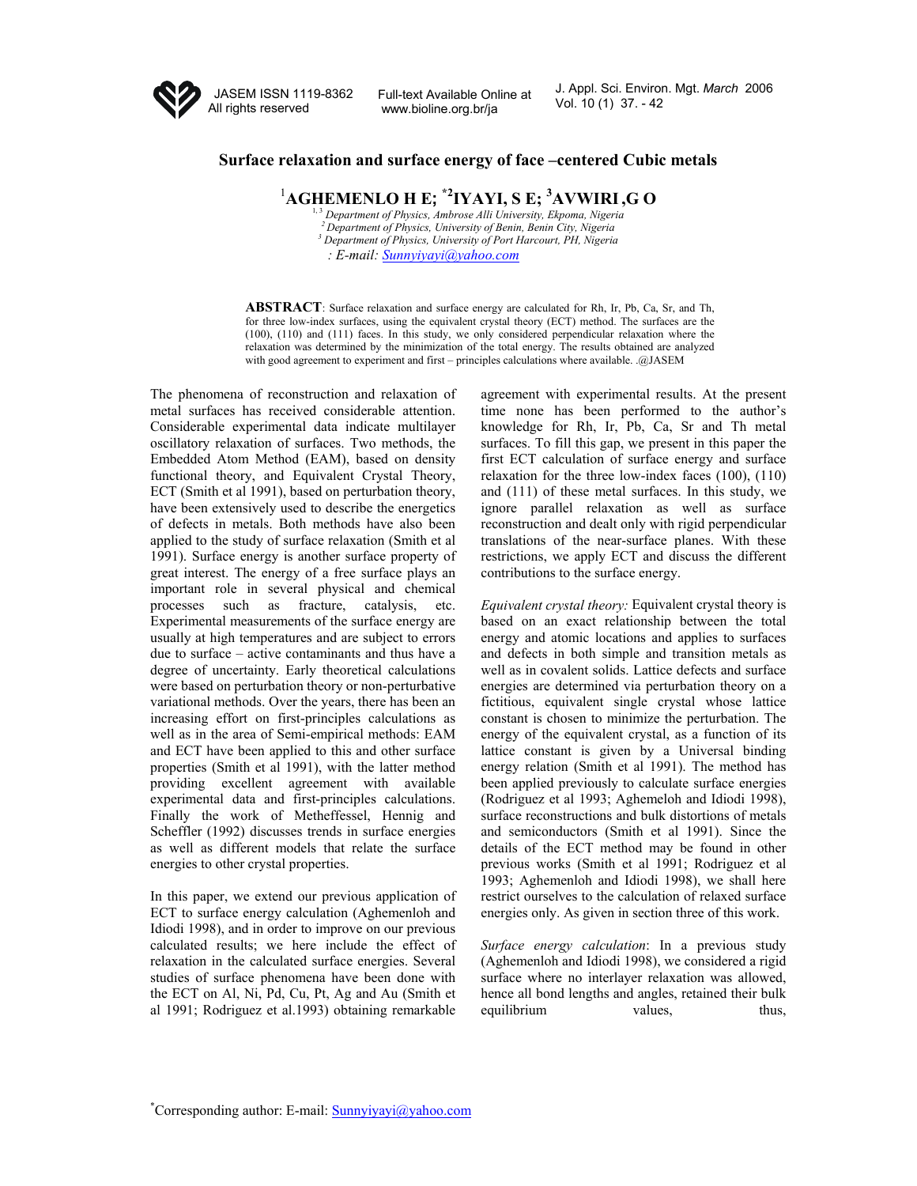

JASEM ISSN 1119-8362 All rights reserved

Full-text Available Online at <br>Vol. 10 (1) 37. - 42 www.bioline.org.br/ja

J. Appl. Sci. Environ. Mgt. *March* 2006

## **Surface relaxation and surface energy of face –centered Cubic metals**

1 **AGHEMENLO H E; \*2IYAYI, S E; 3 AVWIRI,G O** 

1, 3 *Department of Physics, Ambrose Alli University, Ekpoma, Nigeria*  <sup>2</sup> Department of Physics, University of Benin, Benin City, Nigeria  *Department of Physics, University of Port Harcourt, PH, Nigeria : E-mail: Sunnyiyayi@yahoo.com*

**ABSTRACT**: Surface relaxation and surface energy are calculated for Rh, Ir, Pb, Ca, Sr, and Th, for three low-index surfaces, using the equivalent crystal theory (ECT) method. The surfaces are the (100), (110) and (111) faces. In this study, we only considered perpendicular relaxation where the relaxation was determined by the minimization of the total energy. The results obtained are analyzed with good agreement to experiment and first – principles calculations where available. .@JASEM

The phenomena of reconstruction and relaxation of metal surfaces has received considerable attention. Considerable experimental data indicate multilayer oscillatory relaxation of surfaces. Two methods, the Embedded Atom Method (EAM), based on density functional theory, and Equivalent Crystal Theory, ECT (Smith et al 1991), based on perturbation theory, have been extensively used to describe the energetics of defects in metals. Both methods have also been applied to the study of surface relaxation (Smith et al 1991). Surface energy is another surface property of great interest. The energy of a free surface plays an important role in several physical and chemical processes such as fracture, catalysis, etc. Experimental measurements of the surface energy are usually at high temperatures and are subject to errors due to surface – active contaminants and thus have a degree of uncertainty. Early theoretical calculations were based on perturbation theory or non-perturbative variational methods. Over the years, there has been an increasing effort on first-principles calculations as well as in the area of Semi-empirical methods: EAM and ECT have been applied to this and other surface properties (Smith et al 1991), with the latter method providing excellent agreement with available experimental data and first-principles calculations. Finally the work of Metheffessel, Hennig and Scheffler (1992) discusses trends in surface energies as well as different models that relate the surface energies to other crystal properties.

In this paper, we extend our previous application of ECT to surface energy calculation (Aghemenloh and Idiodi 1998), and in order to improve on our previous calculated results; we here include the effect of relaxation in the calculated surface energies. Several studies of surface phenomena have been done with the ECT on Al, Ni, Pd, Cu, Pt, Ag and Au (Smith et al 1991; Rodriguez et al.1993) obtaining remarkable

agreement with experimental results. At the present time none has been performed to the author's knowledge for Rh, Ir, Pb, Ca, Sr and Th metal surfaces. To fill this gap, we present in this paper the first ECT calculation of surface energy and surface relaxation for the three low-index faces (100), (110) and (111) of these metal surfaces. In this study, we ignore parallel relaxation as well as surface reconstruction and dealt only with rigid perpendicular translations of the near-surface planes. With these restrictions, we apply ECT and discuss the different contributions to the surface energy.

*Equivalent crystal theory:* Equivalent crystal theory is based on an exact relationship between the total energy and atomic locations and applies to surfaces and defects in both simple and transition metals as well as in covalent solids. Lattice defects and surface energies are determined via perturbation theory on a fictitious, equivalent single crystal whose lattice constant is chosen to minimize the perturbation. The energy of the equivalent crystal, as a function of its lattice constant is given by a Universal binding energy relation (Smith et al 1991). The method has been applied previously to calculate surface energies (Rodriguez et al 1993; Aghemeloh and Idiodi 1998), surface reconstructions and bulk distortions of metals and semiconductors (Smith et al 1991). Since the details of the ECT method may be found in other previous works (Smith et al 1991; Rodriguez et al 1993; Aghemenloh and Idiodi 1998), we shall here restrict ourselves to the calculation of relaxed surface energies only. As given in section three of this work.

*Surface energy calculation*: In a previous study (Aghemenloh and Idiodi 1998), we considered a rigid surface where no interlayer relaxation was allowed, hence all bond lengths and angles, retained their bulk equilibrium values, thus,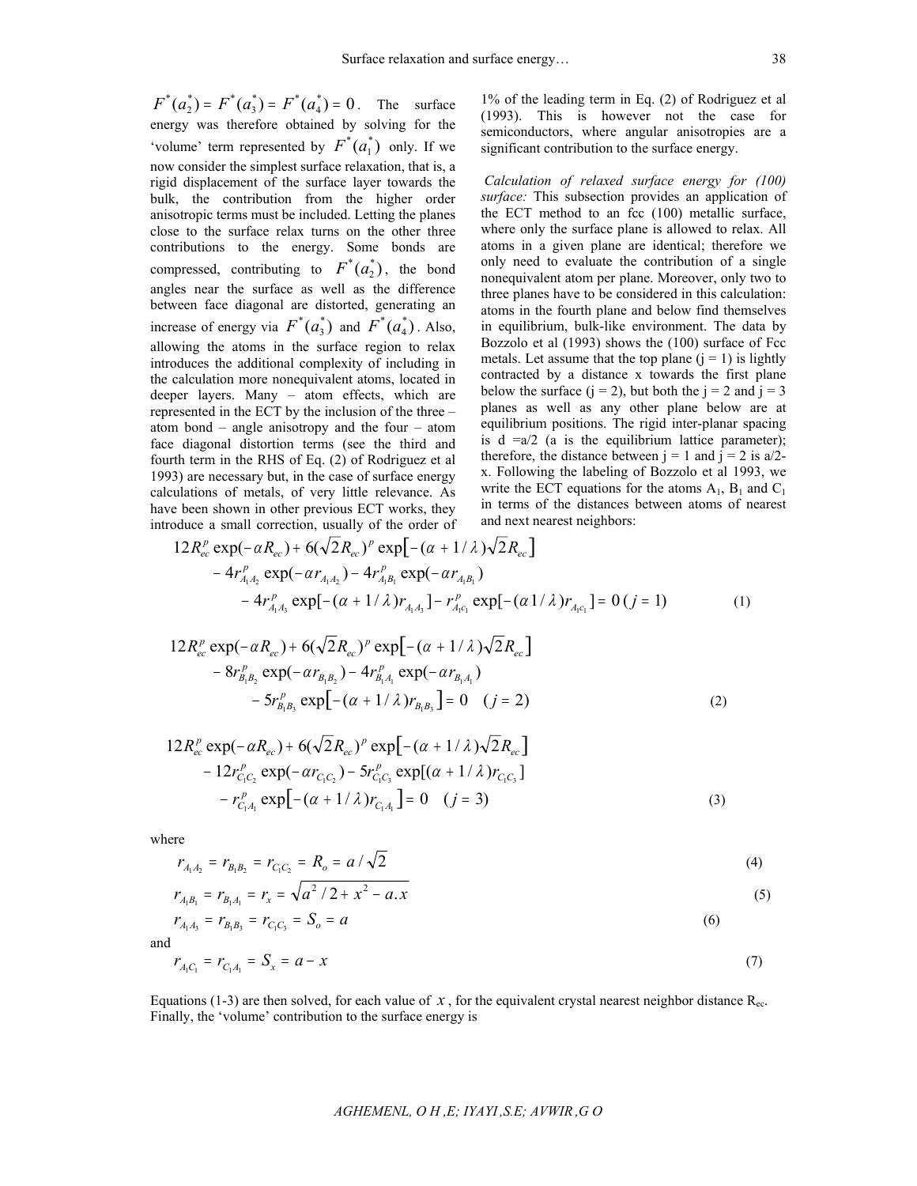$F^*(a_2^*) = F^*(a_3^*) = F^*(a_4^*) = 0$ . The surface energy was therefore obtained by solving for the 'volume' term represented by  $F^*(a_1^*)$  only. If we now consider the simplest surface relaxation, that is, a rigid displacement of the surface layer towards the bulk, the contribution from the higher order anisotropic terms must be included. Letting the planes close to the surface relax turns on the other three contributions to the energy. Some bonds are compressed, contributing to  $F^*(a_2^*)$ , the bond angles near the surface as well as the difference between face diagonal are distorted, generating an increase of energy via  $F^*(a_3^*)$  and  $F^*(a_4^*)$ . Also, allowing the atoms in the surface region to relax introduces the additional complexity of including in the calculation more nonequivalent atoms, located in deeper layers. Many – atom effects, which are represented in the ECT by the inclusion of the three – atom bond – angle anisotropy and the four – atom face diagonal distortion terms (see the third and fourth term in the RHS of Eq. (2) of Rodriguez et al 1993) are necessary but, in the case of surface energy calculations of metals, of very little relevance. As have been shown in other previous ECT works, they introduce a small correction, usually of the order of

1% of the leading term in Eq. (2) of Rodriguez et al (1993). This is however not the case for semiconductors, where angular anisotropies are a significant contribution to the surface energy.

*Calculation of relaxed surface energy for (100) surface:* This subsection provides an application of the ECT method to an fcc (100) metallic surface, where only the surface plane is allowed to relax. All atoms in a given plane are identical; therefore we only need to evaluate the contribution of a single nonequivalent atom per plane. Moreover, only two to three planes have to be considered in this calculation: atoms in the fourth plane and below find themselves in equilibrium, bulk-like environment. The data by Bozzolo et al (1993) shows the (100) surface of Fcc metals. Let assume that the top plane  $(i = 1)$  is lightly contracted by a distance x towards the first plane below the surface  $(i = 2)$ , but both the  $i = 2$  and  $i = 3$ planes as well as any other plane below are at equilibrium positions. The rigid inter-planar spacing is  $d = a/2$  (a is the equilibrium lattice parameter); therefore, the distance between  $j = 1$  and  $j = 2$  is a/2x. Following the labeling of Bozzolo et al 1993, we write the ECT equations for the atoms  $A_1$ ,  $B_1$  and  $C_1$ in terms of the distances between atoms of nearest and next nearest neighbors:

$$
12 R_{ec}^p \exp(-\alpha R_{ec}) + 6(\sqrt{2}R_{ec})^p \exp[-(\alpha + 1/\lambda)\sqrt{2}R_{ec}]
$$
  
- 4r\_{A\_1A\_2}^p \exp(-\alpha r\_{A\_1A\_2}) - 4r\_{A\_1B\_1}^p \exp(-\alpha r\_{A\_1B\_1})  
- 4r\_{A\_1A\_3}^p \exp[-(\alpha + 1/\lambda)r\_{A\_1A\_3}] - r\_{A\_1C\_1}^p \exp[-(\alpha 1/\lambda)r\_{A\_1C\_1}] = 0 (j = 1) (1)

$$
12 R_{ec}^{p} \exp(-\alpha R_{ec}) + 6(\sqrt{2}R_{ec})^{p} \exp[-(\alpha + 1/\lambda)\sqrt{2}R_{ec}]
$$
  
- 8r\_{B\_1B\_2}^{p} \exp(-\alpha r\_{B\_1B\_2}) - 4r\_{B\_1A\_1}^{p} \exp(-\alpha r\_{B\_1A\_1})  
- 5r\_{B\_1B\_3}^{p} \exp[-(\alpha + 1/\lambda)r\_{B\_1B\_3}] = 0 \quad (j = 2) (2)

$$
12 R_{ec}^p \exp(-\alpha R_{ec}) + 6(\sqrt{2}R_{ec})^p \exp[-(\alpha + 1/\lambda)\sqrt{2}R_{ec}]
$$
  
- 12r\_{C\_1C\_2}^p \exp(-\alpha r\_{C\_1C\_2}) - 5r\_{C\_1C\_3}^p \exp[(\alpha + 1/\lambda)r\_{C\_1C\_3}]  
- r\_{C\_1A\_1}^p \exp[-(\alpha + 1/\lambda)r\_{C\_1A\_1}] = 0 \quad (j = 3) (3)

where

$$
r_{A_1A_2} = r_{B_1B_2} = r_{C_1C_2} = R_o = a/\sqrt{2}
$$
\n(4)

$$
r_{A_1B_1} = r_{B_1A_1} = r_x = \sqrt{a^2/2 + x^2 - a.x}
$$
  
\n
$$
r_{A_1A_3} = r_{B_1B_3} = r_{C_1C_3} = S_o = a
$$
\n(6)

and

$$
r_{A_1C_1} = r_{C_1A_1} = S_x = a - x \tag{7}
$$

Equations (1-3) are then solved, for each value of  $x$ , for the equivalent crystal nearest neighbor distance  $R_{ec}$ . Finally, the 'volume' contribution to the surface energy is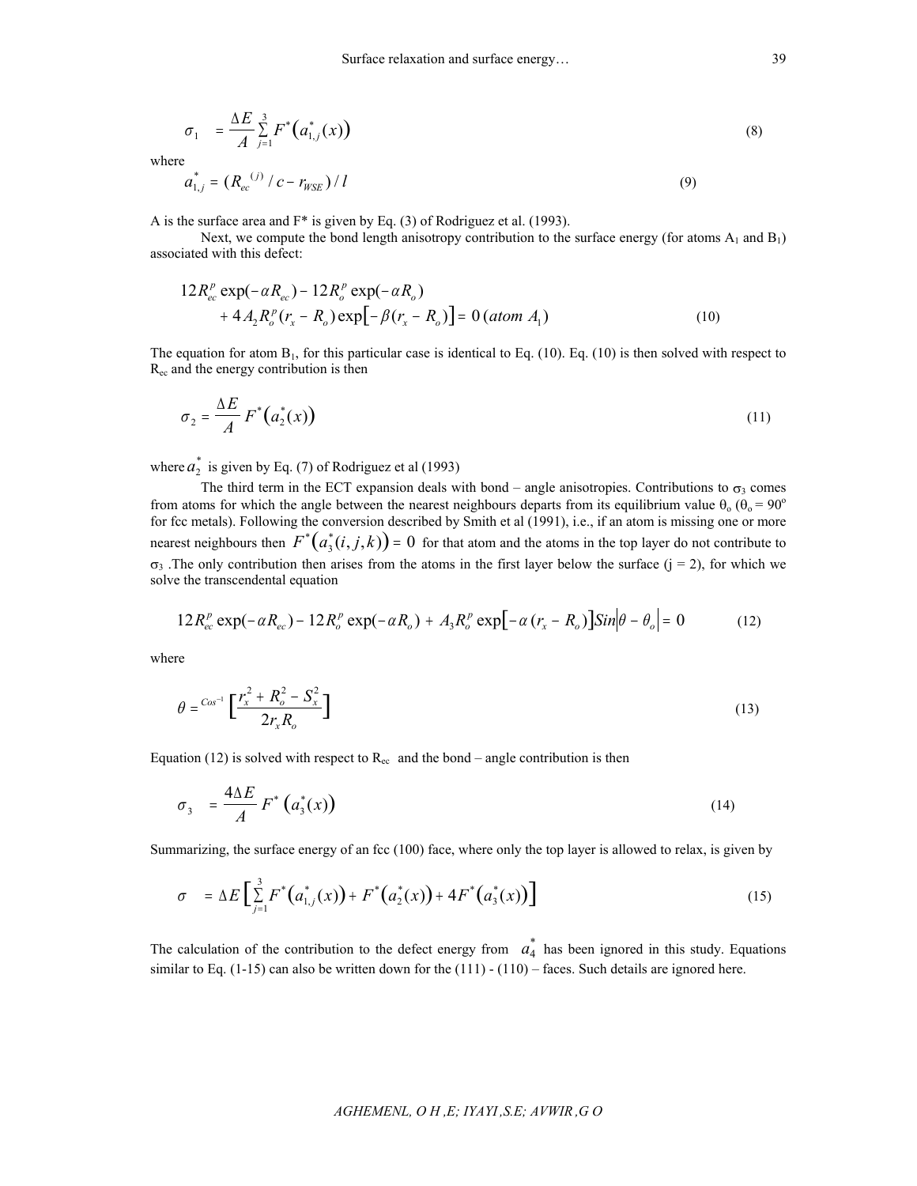$$
\sigma_1 = \frac{\Delta E}{A} \sum_{j=1}^3 F^* \big( a_{1,j}^*(x) \big) \tag{8}
$$

where

$$
a_{1,j}^* = (R_{ec}^{(j)}/c - r_{WSE})/l
$$
\n(9)

A is the surface area and F\* is given by Eq. (3) of Rodriguez et al. (1993).

Next, we compute the bond length anisotropy contribution to the surface energy (for atoms  $A_1$  and  $B_1$ ) associated with this defect:

$$
12 R_{ec}^p \exp(-\alpha R_{ec}) - 12 R_o^p \exp(-\alpha R_o)
$$
  
+  $4 A_2 R_o^p (r_x - R_o) \exp[-\beta (r_x - R_o)] = 0$  (atom  $A_1$ ) (10)

The equation for atom  $B_1$ , for this particular case is identical to Eq. (10). Eq. (10) is then solved with respect to Rec and the energy contribution is then

$$
\sigma_2 = \frac{\Delta E}{A} F^* \big( a_2^*(x) \big) \tag{11}
$$

where  $a_2^*$  is given by Eq. (7) of Rodriguez et al (1993)

The third term in the ECT expansion deals with bond – angle anisotropies. Contributions to  $\sigma_3$  comes from atoms for which the angle between the nearest neighbours departs from its equilibrium value  $\theta_0$  ( $\theta_0 = 90^\circ$ ) for fcc metals). Following the conversion described by Smith et al (1991), i.e., if an atom is missing one or more nearest neighbours then  $F^*(a_3^*(i,j,k)) = 0$  for that atom and the atoms in the top layer do not contribute to  $\sigma_3$ . The only contribution then arises from the atoms in the first layer below the surface (j = 2), for which we solve the transcendental equation

$$
12R_{ec}^p \exp(-\alpha R_{ec}) - 12R_o^p \exp(-\alpha R_o) + A_3 R_o^p \exp[-\alpha (r_x - R_o)]\sin[\theta - \theta_o] = 0 \qquad (12)
$$

where

$$
\theta = \frac{Cos^{-1}}{2r_x R_o} \left[ \frac{r_x^2 + R_o^2 - S_x^2}{2r_x R_o} \right]
$$
\n(13)

Equation (12) is solved with respect to  $R_{ec}$  and the bond – angle contribution is then

$$
\sigma_3 = \frac{4\Delta E}{A} F^* \left( a_3^*(x) \right) \tag{14}
$$

Summarizing, the surface energy of an fcc (100) face, where only the top layer is allowed to relax, is given by

$$
\sigma = \Delta E \left[ \sum_{j=1}^{3} F^* \left( a_{1,j}^*(x) \right) + F^* \left( a_2^*(x) \right) + 4F^* \left( a_3^*(x) \right) \right]
$$
(15)

The calculation of the contribution to the defect energy from  $a_4^*$  has been ignored in this study. Equations similar to Eq.  $(1-15)$  can also be written down for the  $(111) - (110)$  – faces. Such details are ignored here.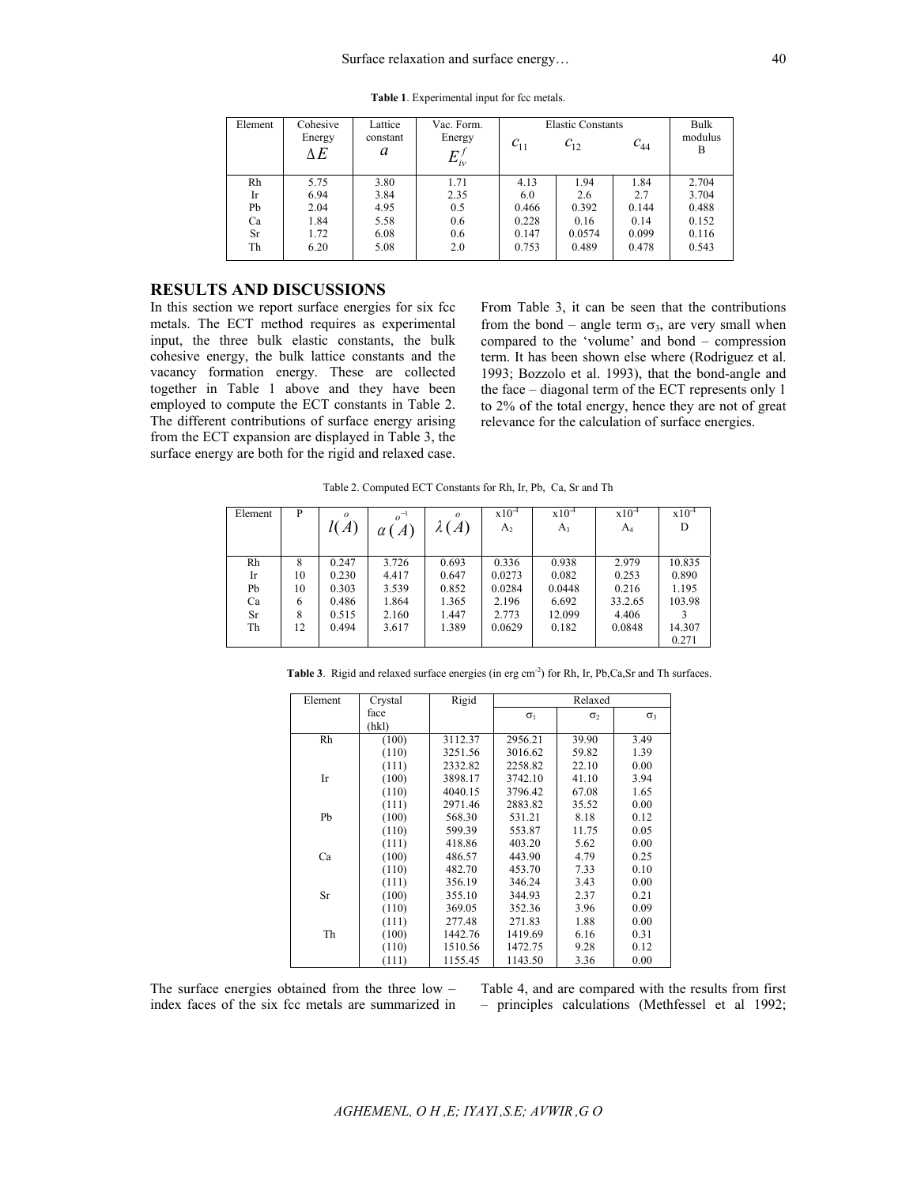| Element | Cohesive<br>Energy<br>ΔE | Lattice<br>constant<br>a | Vac. Form.<br>Energy<br>$E_{i\nu}^{\,j}$ | $c_{11}$ | <b>Elastic Constants</b><br>$c_{12}$ | $c_{44}$ | Bulk<br>modulus<br>B |
|---------|--------------------------|--------------------------|------------------------------------------|----------|--------------------------------------|----------|----------------------|
| Rh      | 5.75                     | 3.80                     | 1.71                                     | 4.13     | 1.94                                 | 1.84     | 2.704                |
| Ir      | 6.94                     | 3.84                     | 2.35                                     | 6.0      | 2.6                                  | 2.7      | 3.704                |
| Pb      | 2.04                     | 4.95                     | 0.5                                      | 0.466    | 0.392                                | 0.144    | 0.488                |
| Ca      | 1.84                     | 5.58                     | 0.6                                      | 0.228    | 0.16                                 | 0.14     | 0.152                |
| Sr      | 1.72                     | 6.08                     | 0.6                                      | 0.147    | 0.0574                               | 0.099    | 0.116                |
| Th      | 6.20                     | 5.08                     | 2.0                                      | 0.753    | 0.489                                | 0.478    | 0.543                |

**Table 1**. Experimental input for fcc metals.

## **RESULTS AND DISCUSSIONS**

In this section we report surface energies for six fcc metals. The ECT method requires as experimental input, the three bulk elastic constants, the bulk cohesive energy, the bulk lattice constants and the vacancy formation energy. These are collected together in Table 1 above and they have been employed to compute the ECT constants in Table 2. The different contributions of surface energy arising from the ECT expansion are displayed in Table 3, the surface energy are both for the rigid and relaxed case. From Table 3, it can be seen that the contributions from the bond – angle term  $\sigma_3$ , are very small when compared to the 'volume' and bond – compression term. It has been shown else where (Rodriguez et al. 1993; Bozzolo et al. 1993), that the bond-angle and the face – diagonal term of the ECT represents only 1 to 2% of the total energy, hence they are not of great relevance for the calculation of surface energies.

Table 2. Computed ECT Constants for Rh, Ir, Pb, Ca, Sr and Th

| Element                          | P                             | $\boldsymbol{o}$<br>$\mathcal{A}$                  | $o^{-1}$<br>$\overline{A}$<br>α                    | $\Omega$<br>$\overline{A}$<br>$\lambda$ (          | $x10^{-4}$<br>$A_2$                                   | $x10^{-4}$<br>$A_3$                                  | $x10^{-4}$<br>$A_4$                                   | $x10^{-4}$<br>D                              |
|----------------------------------|-------------------------------|----------------------------------------------------|----------------------------------------------------|----------------------------------------------------|-------------------------------------------------------|------------------------------------------------------|-------------------------------------------------------|----------------------------------------------|
| Rh<br>Ir<br>Pb<br>Ca<br>Sr<br>Th | 8<br>10<br>10<br>6<br>8<br>12 | 0.247<br>0.230<br>0.303<br>0.486<br>0.515<br>0.494 | 3.726<br>4.417<br>3.539<br>1.864<br>2.160<br>3.617 | 0.693<br>0.647<br>0.852<br>1.365<br>1.447<br>1.389 | 0.336<br>0.0273<br>0.0284<br>2.196<br>2.773<br>0.0629 | 0.938<br>0.082<br>0.0448<br>6.692<br>12.099<br>0.182 | 2.979<br>0.253<br>0.216<br>33.2.65<br>4.406<br>0.0848 | 10.835<br>0.890<br>1.195<br>103.98<br>14.307 |
|                                  |                               |                                                    |                                                    |                                                    |                                                       |                                                      |                                                       | 0.271                                        |

Table 3. Rigid and relaxed surface energies (in erg cm<sup>-2</sup>) for Rh, Ir, Pb, Ca, Sr and Th surfaces.

| Element   | Crystal | Rigid   | Relaxed    |            |            |
|-----------|---------|---------|------------|------------|------------|
|           | face    |         | $\sigma_1$ | $\sigma_2$ | $\sigma_3$ |
|           | (hkl)   |         |            |            |            |
| Rh        | (100)   | 3112.37 | 2956.21    | 39.90      | 3.49       |
|           | (110)   | 3251.56 | 3016.62    | 59.82      | 1.39       |
|           | (111)   | 2332.82 | 2258.82    | 22.10      | 0.00       |
| Ir        | (100)   | 3898.17 | 3742.10    | 41.10      | 3.94       |
|           | (110)   | 4040.15 | 3796.42    | 67.08      | 1.65       |
|           | (111)   | 2971.46 | 2883.82    | 35.52      | 0.00       |
| Pb        | (100)   | 568.30  | 531.21     | 8.18       | 0.12       |
|           | (110)   | 599.39  | 553.87     | 11.75      | 0.05       |
|           | (111)   | 418.86  | 403.20     | 5.62       | 0.00       |
| Ca        | (100)   | 486.57  | 443.90     | 4.79       | 0.25       |
|           | (110)   | 482.70  | 453.70     | 7.33       | 0.10       |
|           | (111)   | 356.19  | 346.24     | 3.43       | 0.00       |
| <b>Sr</b> | (100)   | 355.10  | 344.93     | 2.37       | 0.21       |
|           | (110)   | 369.05  | 352.36     | 3.96       | 0.09       |
|           | (111)   | 277.48  | 271.83     | 1.88       | 0.00       |
| Th        | (100)   | 1442.76 | 1419.69    | 6.16       | 0.31       |
|           | (110)   | 1510.56 | 1472.75    | 9.28       | 0.12       |
|           | (111)   | 1155.45 | 1143.50    | 3.36       | 0.00       |

The surface energies obtained from the three low – index faces of the six fcc metals are summarized in

Table 4, and are compared with the results from first – principles calculations (Methfessel et al 1992;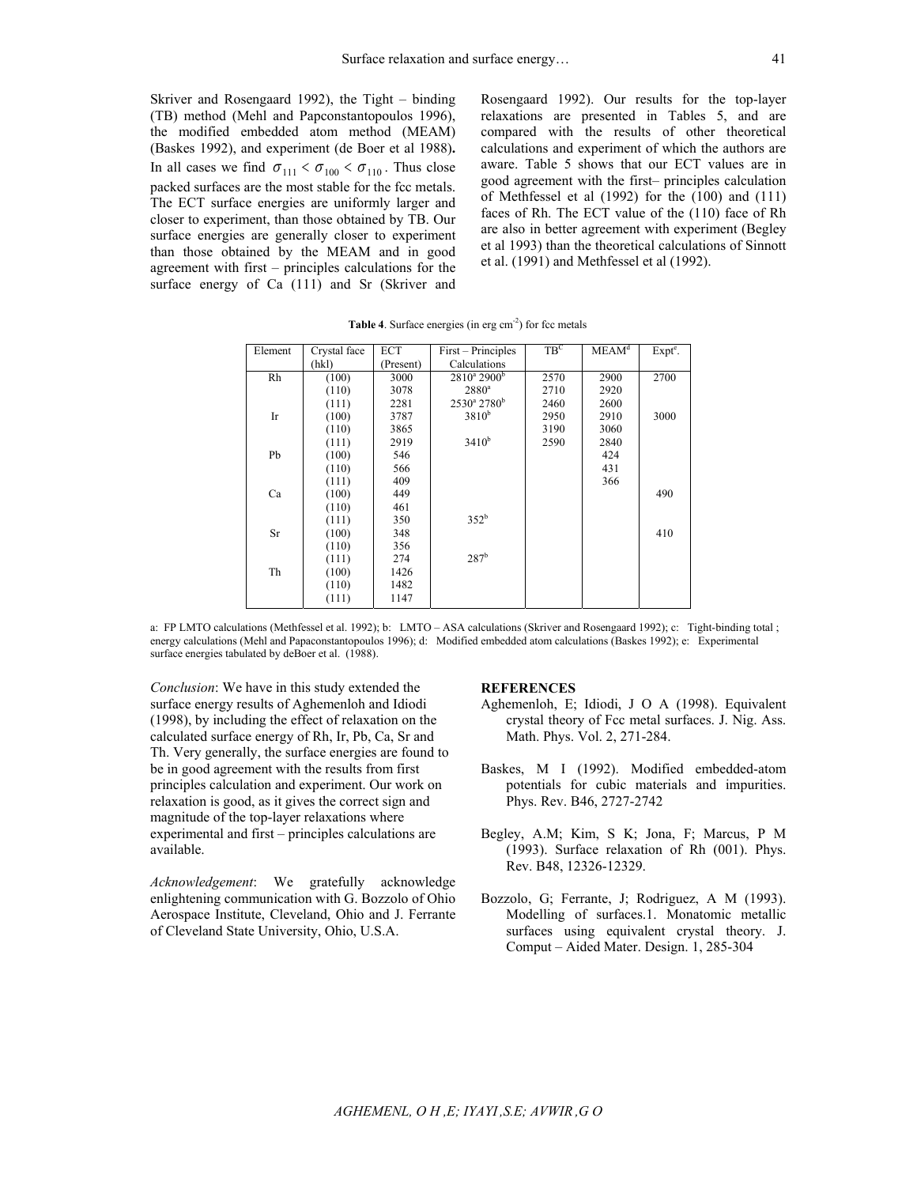Skriver and Rosengaard 1992), the Tight – binding (TB) method (Mehl and Papconstantopoulos 1996), the modified embedded atom method (MEAM) (Baskes 1992), and experiment (de Boer et al 1988)**.**  In all cases we find  $\sigma_{111} < \sigma_{100} < \sigma_{110}$ . Thus close packed surfaces are the most stable for the fcc metals. The ECT surface energies are uniformly larger and closer to experiment, than those obtained by TB. Our surface energies are generally closer to experiment than those obtained by the MEAM and in good agreement with first – principles calculations for the surface energy of Ca (111) and Sr (Skriver and

Rosengaard 1992). Our results for the top-layer relaxations are presented in Tables 5, and are compared with the results of other theoretical calculations and experiment of which the authors are aware. Table 5 shows that our ECT values are in good agreement with the first– principles calculation of Methfessel et al (1992) for the (100) and (111) faces of Rh. The ECT value of the (110) face of Rh are also in better agreement with experiment (Begley et al 1993) than the theoretical calculations of Sinnott et al. (1991) and Methfessel et al (1992).

| Element   | Crystal face | ECT       | First – Principles               | $TB^C$ | MEAM <sup>d</sup> | $Expte$ . |
|-----------|--------------|-----------|----------------------------------|--------|-------------------|-----------|
|           | (hkl)        | (Present) | Calculations                     |        |                   |           |
| Rh        | (100)        | 3000      | $2810^{\rm a}$ 2900 <sup>b</sup> | 2570   | 2900              | 2700      |
|           | (110)        | 3078      | $2880^{\circ}$                   | 2710   | 2920              |           |
|           | (111)        | 2281      | $2530^{\circ}$ 2780 <sup>b</sup> | 2460   | 2600              |           |
| Ir        | (100)        | 3787      | 3810 <sup>b</sup>                | 2950   | 2910              | 3000      |
|           | (110)        | 3865      |                                  | 3190   | 3060              |           |
|           | (111)        | 2919      | $3410^{b}$                       | 2590   | 2840              |           |
| Pb        | (100)        | 546       |                                  |        | 424               |           |
|           | (110)        | 566       |                                  |        | 431               |           |
|           | (111)        | 409       |                                  |        | 366               |           |
| Ca        | (100)        | 449       |                                  |        |                   | 490       |
|           | (110)        | 461       |                                  |        |                   |           |
|           | (111)        | 350       | $352^b$                          |        |                   |           |
| <b>Sr</b> | (100)        | 348       |                                  |        |                   | 410       |
|           | (110)        | 356       |                                  |        |                   |           |
|           | (111)        | 274       | 287 <sup>b</sup>                 |        |                   |           |
| Th        | (100)        | 1426      |                                  |        |                   |           |
|           | (110)        | 1482      |                                  |        |                   |           |
|           | (111)        | 1147      |                                  |        |                   |           |

**Table 4**. Surface energies (in erg cm<sup>-2</sup>) for fcc metals

a: FP LMTO calculations (Methfessel et al. 1992); b: LMTO – ASA calculations (Skriver and Rosengaard 1992); c: Tight-binding total ; energy calculations (Mehl and Papaconstantopoulos 1996); d: Modified embedded atom calculations (Baskes 1992); e: Experimental surface energies tabulated by deBoer et al. (1988).

*Conclusion*: We have in this study extended the surface energy results of Aghemenloh and Idiodi (1998), by including the effect of relaxation on the calculated surface energy of Rh, Ir, Pb, Ca, Sr and Th. Very generally, the surface energies are found to be in good agreement with the results from first principles calculation and experiment. Our work on relaxation is good, as it gives the correct sign and magnitude of the top-layer relaxations where experimental and first – principles calculations are available.

*Acknowledgement*: We gratefully acknowledge enlightening communication with G. Bozzolo of Ohio Aerospace Institute, Cleveland, Ohio and J. Ferrante of Cleveland State University, Ohio, U.S.A.

## **REFERENCES**

- Aghemenloh, E; Idiodi, J O A (1998). Equivalent crystal theory of Fcc metal surfaces. J. Nig. Ass. Math. Phys. Vol. 2, 271-284.
- Baskes, M I (1992). Modified embedded-atom potentials for cubic materials and impurities. Phys. Rev. B46, 2727-2742
- Begley, A.M; Kim, S K; Jona, F; Marcus, P M (1993). Surface relaxation of Rh (001). Phys. Rev. B48, 12326-12329.
- Bozzolo, G; Ferrante, J; Rodriguez, A M (1993). Modelling of surfaces.1. Monatomic metallic surfaces using equivalent crystal theory. J. Comput – Aided Mater. Design. 1, 285-304